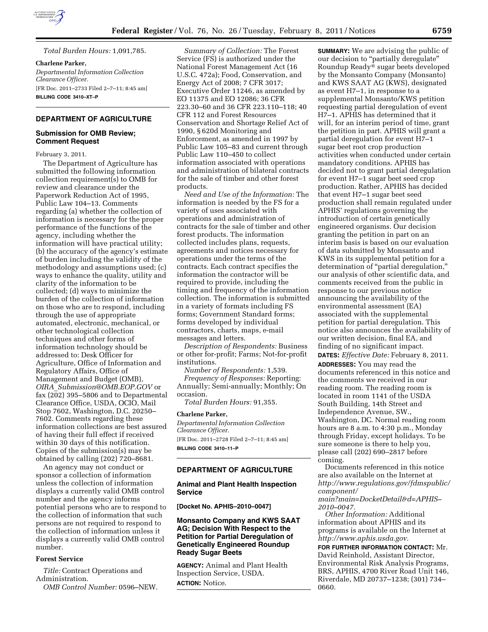

*Total Burden Hours:* 1,091,785.

**Charlene Parker,**  *Departmental Information Collection Clearance Officer.*  [FR Doc. 2011–2733 Filed 2–7–11; 8:45 am] **BILLING CODE 3410–XT–P** 

# **DEPARTMENT OF AGRICULTURE**

### **Submission for OMB Review; Comment Request**

February 3, 2011.

The Department of Agriculture has submitted the following information collection requirement(s) to OMB for review and clearance under the Paperwork Reduction Act of 1995, Public Law 104–13. Comments regarding (a) whether the collection of information is necessary for the proper performance of the functions of the agency, including whether the information will have practical utility; (b) the accuracy of the agency's estimate of burden including the validity of the methodology and assumptions used; (c) ways to enhance the quality, utility and clarity of the information to be collected; (d) ways to minimize the burden of the collection of information on those who are to respond, including through the use of appropriate automated, electronic, mechanical, or other technological collection techniques and other forms of information technology should be addressed to: Desk Officer for Agriculture, Office of Information and Regulatory Affairs, Office of Management and Budget (OMB), *OIRA*\_*[Submission@OMB.EOP.GOV](mailto:OIRA_Submission@OMB.EOP.GOV)* or fax (202) 395–5806 and to Departmental Clearance Office, USDA, OCIO, Mail Stop 7602, Washington, D.C. 20250– 7602. Comments regarding these information collections are best assured of having their full effect if received within 30 days of this notification. Copies of the submission(s) may be obtained by calling (202) 720–8681.

An agency may not conduct or sponsor a collection of information unless the collection of information displays a currently valid OMB control number and the agency informs potential persons who are to respond to the collection of information that such persons are not required to respond to the collection of information unless it displays a currently valid OMB control number.

# **Forest Service**

*Title:* Contract Operations and Administration.

*OMB Control Number:* 0596–NEW.

*Summary of Collection:* The Forest Service (FS) is authorized under the National Forest Management Act (16 U.S.C. 472a); Food, Conservation, and Energy Act of 2008; 7 CFR 3017; Executive Order 11246, as amended by EO 11375 and EO 12086; 36 CFR 223.30–60 and 36 CFR 223.110–118; 40 CFR 112 and Forest Resources Conservation and Shortage Relief Act of 1990, § 620d Monitoring and Enforcement, as amended in 1997 by Public Law 105–83 and current through Public Law 110–450 to collect information associated with operations and administration of bilateral contracts for the sale of timber and other forest products.

*Need and Use of the Information:* The information is needed by the FS for a variety of uses associated with operations and administration of contracts for the sale of timber and other forest products. The information collected includes plans, requests, agreements and notices necessary for operations under the terms of the contracts. Each contract specifies the information the contractor will be required to provide, including the timing and frequency of the information collection. The information is submitted in a variety of formats including FS forms; Government Standard forms; forms developed by individual contractors, charts, maps, e-mail messages and letters.

*Description of Respondents:* Business or other for-profit; Farms; Not-for-profit institutions.

*Number of Respondents:* 1,539. *Frequency of Responses:* Reporting: Annually; Semi-annually; Monthly; On occasion.

*Total Burden Hours:* 91,355.

#### **Charlene Parker,**

*Departmental Information Collection Clearance Officer.*  [FR Doc. 2011–2728 Filed 2–7–11; 8:45 am] **BILLING CODE 3410–11–P** 

## **DEPARTMENT OF AGRICULTURE**

## **Animal and Plant Health Inspection Service**

**[Docket No. APHIS–2010–0047]** 

## **Monsanto Company and KWS SAAT AG; Decision With Respect to the Petition for Partial Deregulation of Genetically Engineered Roundup Ready Sugar Beets**

**AGENCY:** Animal and Plant Health Inspection Service, USDA. **ACTION:** Notice.

**SUMMARY:** We are advising the public of our decision to "partially deregulate" Roundup Ready® sugar beets developed by the Monsanto Company (Monsanto) and KWS SAAT AG (KWS), designated as event H7–1, in response to a supplemental Monsanto/KWS petition requesting partial deregulation of event H7–1. APHIS has determined that it will, for an interim period of time, grant the petition in part. APHIS will grant a partial deregulation for event H7–1 sugar beet root crop production activities when conducted under certain mandatory conditions. APHIS has decided not to grant partial deregulation for event H7–1 sugar beet seed crop production. Rather, APHIS has decided that event H7–1 sugar beet seed production shall remain regulated under APHIS' regulations governing the introduction of certain genetically engineered organisms. Our decision granting the petition in part on an interim basis is based on our evaluation of data submitted by Monsanto and KWS in its supplemental petition for a determination of "partial deregulation," our analysis of other scientific data, and comments received from the public in response to our previous notice announcing the availability of the environmental assessment (EA) associated with the supplemental petition for partial deregulation. This notice also announces the availability of our written decision, final EA, and finding of no significant impact. **DATES:** *Effective Date:* February 8, 2011. **ADDRESSES:** You may read the documents referenced in this notice and the comments we received in our reading room. The reading room is located in room 1141 of the USDA South Building, 14th Street and Independence Avenue, SW., Washington, DC. Normal reading room hours are 8 a.m. to 4:30 p.m., Monday through Friday, except holidays. To be sure someone is there to help you, please call (202) 690–2817 before coming.

Documents referenced in this notice are also available on the Internet at *[http://www.regulations.gov/fdmspublic/](http://www.regulations.gov/fdmspublic/component/main?main=DocketDetail&d=APHIS-2010-0047) [component/](http://www.regulations.gov/fdmspublic/component/main?main=DocketDetail&d=APHIS-2010-0047)* 

*[main?main=DocketDetail&d=APHIS–](http://www.regulations.gov/fdmspublic/component/main?main=DocketDetail&d=APHIS-2010-0047) [2010–0047.](http://www.regulations.gov/fdmspublic/component/main?main=DocketDetail&d=APHIS-2010-0047)* 

*Other Information:* Additional information about APHIS and its programs is available on the Internet at *[http://www.aphis.usda.gov.](http://www.aphis.usda.gov)* 

**FOR FURTHER INFORMATION CONTACT:** Mr. David Reinhold, Assistant Director, Environmental Risk Analysis Programs, BRS, APHIS, 4700 River Road Unit 146, Riverdale, MD 20737–1238; (301) 734– 0660.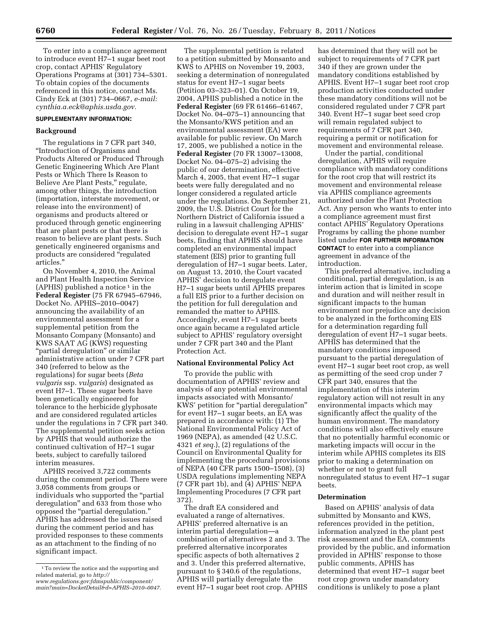To enter into a compliance agreement to introduce event H7–1 sugar beet root crop, contact APHIS' Regulatory Operations Programs at (301) 734–5301. To obtain copies of the documents referenced in this notice, contact Ms. Cindy Eck at (301) 734–0667, *e-mail: [cynthia.a.eck@aphis.usda.gov.](mailto:cynthia.a.eck@aphis.usda.gov)* 

### **SUPPLEMENTARY INFORMATION:**

## **Background**

The regulations in 7 CFR part 340, ''Introduction of Organisms and Products Altered or Produced Through Genetic Engineering Which Are Plant Pests or Which There Is Reason to Believe Are Plant Pests,'' regulate, among other things, the introduction (importation, interstate movement, or release into the environment) of organisms and products altered or produced through genetic engineering that are plant pests or that there is reason to believe are plant pests. Such genetically engineered organisms and products are considered ''regulated articles.''

On November 4, 2010, the Animal and Plant Health Inspection Service (APHIS) published a notice  $\frac{1}{1}$  in the **Federal Register** (75 FR 67945–67946, Docket No. APHIS–2010–0047) announcing the availability of an environmental assessment for a supplemental petition from the Monsanto Company (Monsanto) and KWS SAAT AG (KWS) requesting ''partial deregulation'' or similar administrative action under 7 CFR part 340 (referred to below as the regulations) for sugar beets (*Beta vulgaris* ssp. *vulgaris*) designated as event H7–1. These sugar beets have been genetically engineered for tolerance to the herbicide glyphosate and are considered regulated articles under the regulations in 7 CFR part 340. The supplemental petition seeks action by APHIS that would authorize the continued cultivation of H7–1 sugar beets, subject to carefully tailored interim measures.

APHIS received 3,722 comments during the comment period. There were 3,058 comments from groups or individuals who supported the ''partial deregulation'' and 633 from those who opposed the ''partial deregulation.'' APHIS has addressed the issues raised during the comment period and has provided responses to these comments as an attachment to the finding of no significant impact.

The supplemental petition is related to a petition submitted by Monsanto and KWS to APHIS on November 19, 2003, seeking a determination of nonregulated status for event H7–1 sugar beets (Petition 03–323–01). On October 19, 2004, APHIS published a notice in the **Federal Register** (69 FR 61466–61467, Docket No. 04–075–1) announcing that the Monsanto/KWS petition and an environmental assessment (EA) were available for public review. On March 17, 2005, we published a notice in the **Federal Register** (70 FR 13007–13008, Docket No. 04–075–2) advising the public of our determination, effective March 4, 2005, that event H7–1 sugar beets were fully deregulated and no longer considered a regulated article under the regulations. On September 21, 2009, the U.S. District Court for the Northern District of California issued a ruling in a lawsuit challenging APHIS' decision to deregulate event H7–1 sugar beets, finding that APHIS should have completed an environmental impact statement (EIS) prior to granting full deregulation of H7–1 sugar beets. Later, on August 13, 2010, the Court vacated APHIS' decision to deregulate event H7–1 sugar beets until APHIS prepares a full EIS prior to a further decision on the petition for full deregulation and remanded the matter to APHIS. Accordingly, event H7–1 sugar beets once again became a regulated article subject to APHIS' regulatory oversight under 7 CFR part 340 and the Plant Protection Act.

#### **National Environmental Policy Act**

To provide the public with documentation of APHIS' review and analysis of any potential environmental impacts associated with Monsanto/ KWS' petition for "partial deregulation" for event H7–1 sugar beets, an EA was prepared in accordance with: (1) The National Environmental Policy Act of 1969 (NEPA), as amended (42 U.S.C. 4321 *et seq.*), (2) regulations of the Council on Environmental Quality for implementing the procedural provisions of NEPA (40 CFR parts 1500–1508), (3) USDA regulations implementing NEPA (7 CFR part 1b), and (4) APHIS' NEPA Implementing Procedures (7 CFR part 372).

The draft EA considered and evaluated a range of alternatives. APHIS' preferred alternative is an interim partial deregulation—a combination of alternatives 2 and 3. The preferred alternative incorporates specific aspects of both alternatives 2 and 3. Under this preferred alternative, pursuant to § 340.6 of the regulations, APHIS will partially deregulate the event H7–1 sugar beet root crop. APHIS

has determined that they will not be subject to requirements of 7 CFR part 340 if they are grown under the mandatory conditions established by APHIS. Event H7–1 sugar beet root crop production activities conducted under these mandatory conditions will not be considered regulated under 7 CFR part 340. Event H7–1 sugar beet seed crop will remain regulated subject to requirements of 7 CFR part 340, requiring a permit or notification for movement and environmental release.

Under the partial, conditional deregulation, APHIS will require compliance with mandatory conditions for the root crop that will restrict its movement and environmental release via APHIS compliance agreements authorized under the Plant Protection Act. Any person who wants to enter into a compliance agreement must first contact APHIS' Regulatory Operations Programs by calling the phone number listed under **FOR FURTHER INFORMATION CONTACT** to enter into a compliance agreement in advance of the introduction.

This preferred alternative, including a conditional, partial deregulation, is an interim action that is limited in scope and duration and will neither result in significant impacts to the human environment nor prejudice any decision to be analyzed in the forthcoming EIS for a determination regarding full deregulation of event H7–1 sugar beets. APHIS has determined that the mandatory conditions imposed pursuant to the partial deregulation of event H7–1 sugar beet root crop, as well as permitting of the seed crop under 7 CFR part 340, ensures that the implementation of this interim regulatory action will not result in any environmental impacts which may significantly affect the quality of the human environment. The mandatory conditions will also effectively ensure that no potentially harmful economic or marketing impacts will occur in the interim while APHIS completes its EIS prior to making a determination on whether or not to grant full nonregulated status to event H7–1 sugar beets.

#### **Determination**

Based on APHIS' analysis of data submitted by Monsanto and KWS, references provided in the petition, information analyzed in the plant pest risk assessment and the EA, comments provided by the public, and information provided in APHIS' response to those public comments, APHIS has determined that event H7–1 sugar beet root crop grown under mandatory conditions is unlikely to pose a plant

<sup>&</sup>lt;sup>1</sup>To review the notice and the supporting and related material, go to *[http://](http://www.regulations.gov) [www.regulations.gov;f](http://www.regulations.gov)dmspublic/component/ main?main=DocketDetail&d=APHIS–2010–0047.*